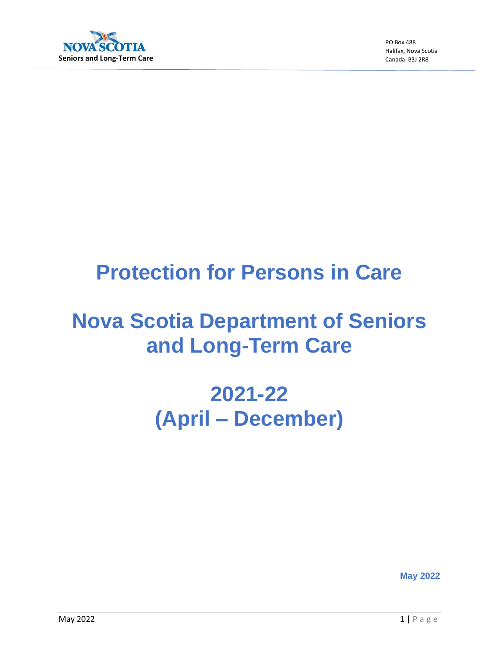

PO Box 488 Halifax, Nova Scotia Canada B3J 2R8

## **Protection for Persons in Care**

# **Nova Scotia Department of Seniors and Long-Term Care**

# **2021-22 (April – December)**

**May 2022**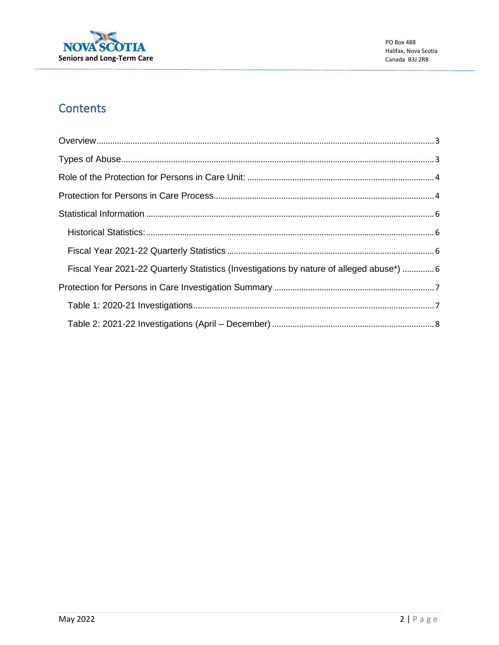

## **Contents**

| Fiscal Year 2021-22 Quarterly Statistics (Investigations by nature of alleged abuse*)  6 |  |
|------------------------------------------------------------------------------------------|--|
|                                                                                          |  |
|                                                                                          |  |
|                                                                                          |  |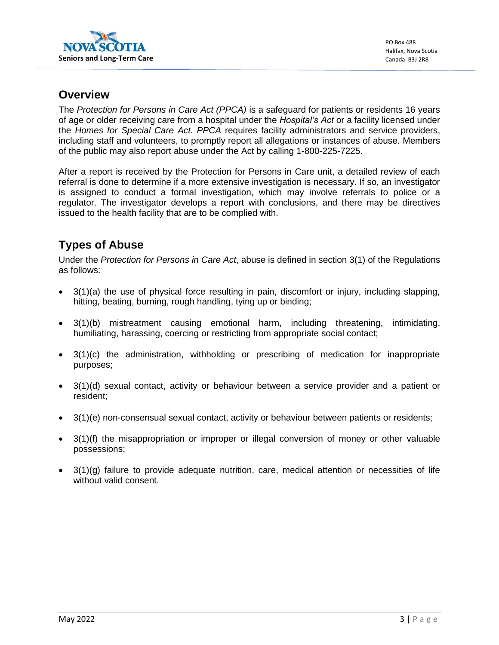

#### <span id="page-2-0"></span>**Overview**

The *Protection for Persons in Care Act (PPCA)* is a safeguard for patients or residents 16 years of age or older receiving care from a hospital under the *Hospital's Act* or a facility licensed under the *Homes for Special Care Act. PPCA* requires facility administrators and service providers, including staff and volunteers, to promptly report all allegations or instances of abuse. Members of the public may also report abuse under the Act by calling 1-800-225-7225.

After a report is received by the Protection for Persons in Care unit, a detailed review of each referral is done to determine if a more extensive investigation is necessary. If so, an investigator is assigned to conduct a formal investigation, which may involve referrals to police or a regulator. The investigator develops a report with conclusions, and there may be directives issued to the health facility that are to be complied with.

## <span id="page-2-1"></span>**Types of Abuse**

Under the *Protection for Persons in Care Act*, abuse is defined in section 3(1) of the Regulations as follows:

- 3(1)(a) the use of physical force resulting in pain, discomfort or injury, including slapping, hitting, beating, burning, rough handling, tying up or binding;
- 3(1)(b) mistreatment causing emotional harm, including threatening, intimidating, humiliating, harassing, coercing or restricting from appropriate social contact;
- 3(1)(c) the administration, withholding or prescribing of medication for inappropriate purposes;
- 3(1)(d) sexual contact, activity or behaviour between a service provider and a patient or resident;
- 3(1)(e) non-consensual sexual contact, activity or behaviour between patients or residents;
- 3(1)(f) the misappropriation or improper or illegal conversion of money or other valuable possessions;
- 3(1)(g) failure to provide adequate nutrition, care, medical attention or necessities of life without valid consent.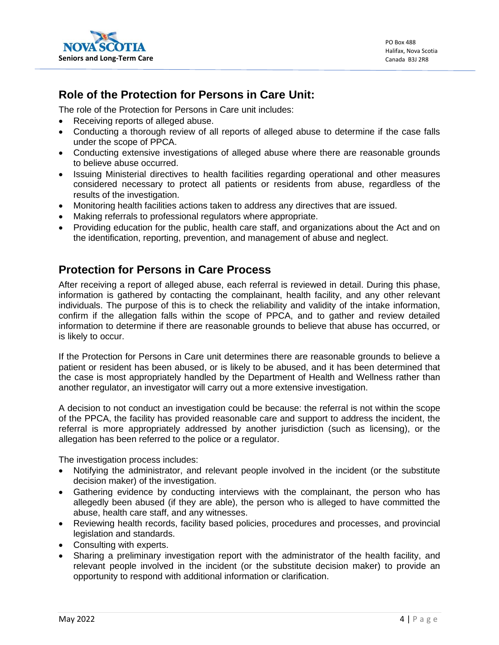

### <span id="page-3-0"></span>**Role of the Protection for Persons in Care Unit:**

The role of the Protection for Persons in Care unit includes:

- Receiving reports of alleged abuse.
- Conducting a thorough review of all reports of alleged abuse to determine if the case falls under the scope of PPCA.
- Conducting extensive investigations of alleged abuse where there are reasonable grounds to believe abuse occurred.
- Issuing Ministerial directives to health facilities regarding operational and other measures considered necessary to protect all patients or residents from abuse, regardless of the results of the investigation.
- Monitoring health facilities actions taken to address any directives that are issued.
- Making referrals to professional regulators where appropriate.
- Providing education for the public, health care staff, and organizations about the Act and on the identification, reporting, prevention, and management of abuse and neglect.

### <span id="page-3-1"></span>**Protection for Persons in Care Process**

After receiving a report of alleged abuse, each referral is reviewed in detail. During this phase, information is gathered by contacting the complainant, health facility, and any other relevant individuals. The purpose of this is to check the reliability and validity of the intake information, confirm if the allegation falls within the scope of PPCA, and to gather and review detailed information to determine if there are reasonable grounds to believe that abuse has occurred, or is likely to occur.

If the Protection for Persons in Care unit determines there are reasonable grounds to believe a patient or resident has been abused, or is likely to be abused, and it has been determined that the case is most appropriately handled by the Department of Health and Wellness rather than another regulator, an investigator will carry out a more extensive investigation.

A decision to not conduct an investigation could be because: the referral is not within the scope of the PPCA, the facility has provided reasonable care and support to address the incident, the referral is more appropriately addressed by another jurisdiction (such as licensing), or the allegation has been referred to the police or a regulator.

The investigation process includes:

- Notifying the administrator, and relevant people involved in the incident (or the substitute decision maker) of the investigation.
- Gathering evidence by conducting interviews with the complainant, the person who has allegedly been abused (if they are able), the person who is alleged to have committed the abuse, health care staff, and any witnesses.
- Reviewing health records, facility based policies, procedures and processes, and provincial legislation and standards.
- Consulting with experts.
- Sharing a preliminary investigation report with the administrator of the health facility, and relevant people involved in the incident (or the substitute decision maker) to provide an opportunity to respond with additional information or clarification.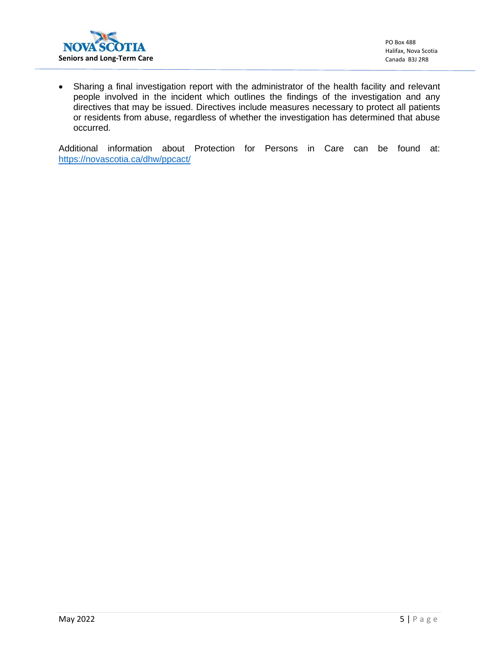

• Sharing a final investigation report with the administrator of the health facility and relevant people involved in the incident which outlines the findings of the investigation and any directives that may be issued. Directives include measures necessary to protect all patients or residents from abuse, regardless of whether the investigation has determined that abuse occurred.

Additional information about Protection for Persons in Care can be found at: <https://novascotia.ca/dhw/ppcact/>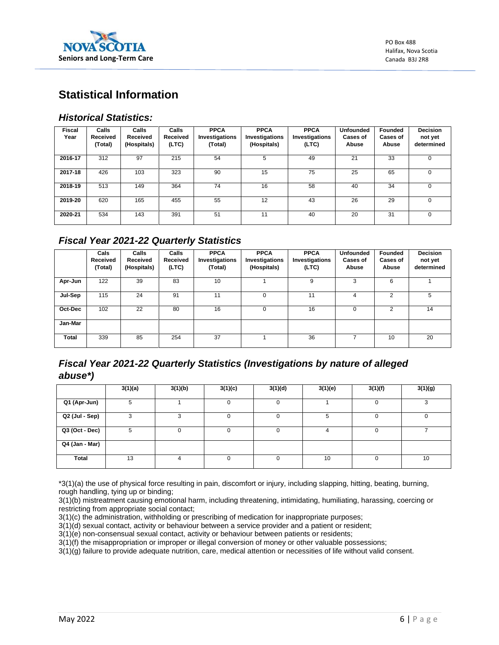

## <span id="page-5-0"></span>**Statistical Information**

#### <span id="page-5-1"></span>*Historical Statistics:*

| <b>Fiscal</b><br>Year | Calls<br>Received<br>(Total) | Calls<br>Received<br>(Hospitals) | Calls<br>Received<br>(LTC) | <b>PPCA</b><br>Investigations<br>(Total) | <b>PPCA</b><br>Investigations<br>(Hospitals) | <b>PPCA</b><br>Investigations<br>(LTC) | <b>Unfounded</b><br><b>Cases of</b><br>Abuse | Founded<br>Cases of<br>Abuse | <b>Decision</b><br>not yet<br>determined |
|-----------------------|------------------------------|----------------------------------|----------------------------|------------------------------------------|----------------------------------------------|----------------------------------------|----------------------------------------------|------------------------------|------------------------------------------|
| 2016-17               | 312                          | 97                               | 215                        | 54                                       | 5                                            | 49                                     | 21                                           | 33                           | $\Omega$                                 |
| 2017-18               | 426                          | 103                              | 323                        | 90                                       | 15                                           | 75                                     | 25                                           | 65                           | 0                                        |
| 2018-19               | 513                          | 149                              | 364                        | 74                                       | 16                                           | 58                                     | 40                                           | 34                           | $\Omega$                                 |
| 2019-20               | 620                          | 165                              | 455                        | 55                                       | 12                                           | 43                                     | 26                                           | 29                           | 0                                        |
| 2020-21               | 534                          | 143                              | 391                        | 51                                       | 11                                           | 40                                     | 20                                           | 31                           | $\Omega$                                 |

#### <span id="page-5-2"></span>*Fiscal Year 2021-22 Quarterly Statistics*

|              | Cals<br>Received<br>(Total) | Calls<br>Received<br>(Hospitals) | Calls<br>Received<br>(LTC) | <b>PPCA</b><br>Investigations<br>(Total) | <b>PPCA</b><br>Investigations<br>(Hospitals) | <b>PPCA</b><br>Investigations<br>(LTC) | <b>Unfounded</b><br><b>Cases of</b><br>Abuse | Founded<br>Cases of<br>Abuse | <b>Decision</b><br>not yet<br>determined |
|--------------|-----------------------------|----------------------------------|----------------------------|------------------------------------------|----------------------------------------------|----------------------------------------|----------------------------------------------|------------------------------|------------------------------------------|
| Apr-Jun      | 122                         | 39                               | 83                         | 10                                       |                                              | 9                                      | 3                                            | 6                            |                                          |
| Jul-Sep      | 115                         | 24                               | 91                         | 11                                       | 0                                            | 11                                     | 4                                            | 2                            | 5                                        |
| Oct-Dec      | 102                         | 22                               | 80                         | 16                                       | 0                                            | 16                                     | 0                                            | 2                            | 14                                       |
| Jan-Mar      |                             |                                  |                            |                                          |                                              |                                        |                                              |                              |                                          |
| <b>Total</b> | 339                         | 85                               | 254                        | 37                                       |                                              | 36                                     |                                              | 10                           | 20                                       |

#### <span id="page-5-3"></span>*Fiscal Year 2021-22 Quarterly Statistics (Investigations by nature of alleged abuse\*)*

|                | 3(1)(a) | 3(1)(b) | 3(1)(c)  | 3(1)(d)  | 3(1)(e) | 3(1)(f)  | 3(1)(g) |
|----------------|---------|---------|----------|----------|---------|----------|---------|
| Q1 (Apr-Jun)   | 5       |         |          |          |         |          | ◠       |
| Q2 (Jul - Sep) | っ       |         |          | 0        | 5       | 0        | 0       |
| Q3 (Oct - Dec) | 5       |         | $\Omega$ | $\Omega$ | 4       | $\Omega$ |         |
| Q4 (Jan - Mar) |         |         |          |          |         |          |         |
| <b>Total</b>   | 13      |         | 0        |          | 10      | O        | 10      |

\*3(1)(a) the use of physical force resulting in pain, discomfort or injury, including slapping, hitting, beating, burning, rough handling, tying up or binding;

3(1)(b) mistreatment causing emotional harm, including threatening, intimidating, humiliating, harassing, coercing or restricting from appropriate social contact;

3(1)(c) the administration, withholding or prescribing of medication for inappropriate purposes;

3(1)(d) sexual contact, activity or behaviour between a service provider and a patient or resident;

3(1)(e) non-consensual sexual contact, activity or behaviour between patients or residents;

3(1)(f) the misappropriation or improper or illegal conversion of money or other valuable possessions;

3(1)(g) failure to provide adequate nutrition, care, medical attention or necessities of life without valid consent.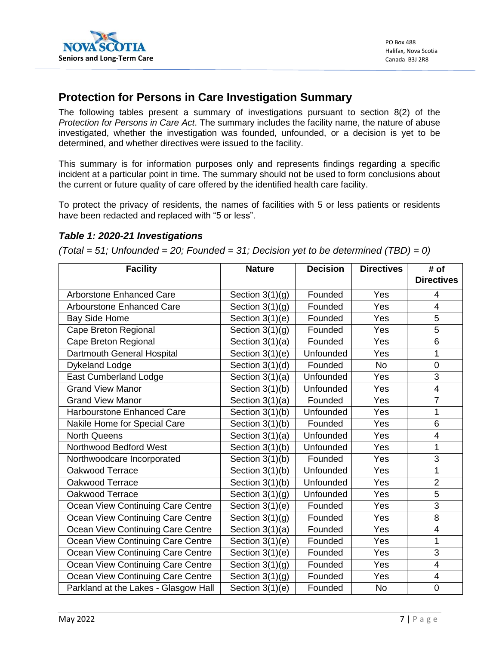

### <span id="page-6-0"></span>**Protection for Persons in Care Investigation Summary**

The following tables present a summary of investigations pursuant to section 8(2) of the *Protection for Persons in Care Act*. The summary includes the facility name, the nature of abuse investigated, whether the investigation was founded, unfounded, or a decision is yet to be determined, and whether directives were issued to the facility.

This summary is for information purposes only and represents findings regarding a specific incident at a particular point in time. The summary should not be used to form conclusions about the current or future quality of care offered by the identified health care facility.

To protect the privacy of residents, the names of facilities with 5 or less patients or residents have been redacted and replaced with "5 or less".

#### <span id="page-6-1"></span>*Table 1: 2020-21 Investigations*

*(Total = 51; Unfounded = 20; Founded = 31; Decision yet to be determined (TBD) = 0)*

| <b>Facility</b>                      | <b>Nature</b>     | <b>Decision</b>  | <b>Directives</b> | # of                    |
|--------------------------------------|-------------------|------------------|-------------------|-------------------------|
|                                      |                   |                  |                   | <b>Directives</b>       |
| <b>Arborstone Enhanced Care</b>      | Section $3(1)(g)$ | Founded          | Yes               | 4                       |
| <b>Arbourstone Enhanced Care</b>     | Section $3(1)(g)$ | Founded          | Yes               | $\overline{4}$          |
| <b>Bay Side Home</b>                 | Section $3(1)(e)$ | Founded          | Yes               | 5                       |
| Cape Breton Regional                 | Section $3(1)(g)$ | Founded          | Yes               | 5                       |
| Cape Breton Regional                 | Section $3(1)(a)$ | Founded          | Yes               | 6                       |
| Dartmouth General Hospital           | Section 3(1)(e)   | Unfounded        | Yes               | 1                       |
| <b>Dykeland Lodge</b>                | Section $3(1)(d)$ | Founded          | <b>No</b>         | $\mathbf 0$             |
| <b>East Cumberland Lodge</b>         | Section $3(1)(a)$ | Unfounded        | Yes               | 3                       |
| <b>Grand View Manor</b>              | Section 3(1)(b)   | Unfounded        | Yes               | $\overline{4}$          |
| <b>Grand View Manor</b>              | Section $3(1)(a)$ | Founded          | Yes               | $\overline{7}$          |
| <b>Harbourstone Enhanced Care</b>    | Section 3(1)(b)   | Unfounded        | Yes               | 1                       |
| Nakile Home for Special Care         | Section $3(1)(b)$ | Founded          | Yes               | $\,6$                   |
| <b>North Queens</b>                  | Section $3(1)(a)$ | <b>Unfounded</b> | Yes               | $\overline{4}$          |
| Northwood Bedford West               | Section 3(1)(b)   | Unfounded        | Yes               | 1                       |
| Northwoodcare Incorporated           | Section 3(1)(b)   | Founded          | Yes               | 3                       |
| Oakwood Terrace                      | Section 3(1)(b)   | Unfounded        | Yes               | $\overline{1}$          |
| Oakwood Terrace                      | Section 3(1)(b)   | Unfounded        | Yes               | $\overline{2}$          |
| Oakwood Terrace                      | Section $3(1)(g)$ | Unfounded        | Yes               | $\overline{5}$          |
| Ocean View Continuing Care Centre    | Section $3(1)(e)$ | Founded          | Yes               | 3                       |
| Ocean View Continuing Care Centre    | Section $3(1)(g)$ | Founded          | Yes               | 8                       |
| Ocean View Continuing Care Centre    | Section $3(1)(a)$ | Founded          | Yes               | $\overline{\mathbf{4}}$ |
| Ocean View Continuing Care Centre    | Section $3(1)(e)$ | Founded          | Yes               | 1                       |
| Ocean View Continuing Care Centre    | Section $3(1)(e)$ | Founded          | Yes               | 3                       |
| Ocean View Continuing Care Centre    | Section $3(1)(g)$ | Founded          | Yes               | $\overline{\mathbf{4}}$ |
| Ocean View Continuing Care Centre    | Section $3(1)(g)$ | Founded          | Yes               | $\overline{\mathbf{4}}$ |
| Parkland at the Lakes - Glasgow Hall | Section $3(1)(e)$ | Founded          | <b>No</b>         | $\pmb{0}$               |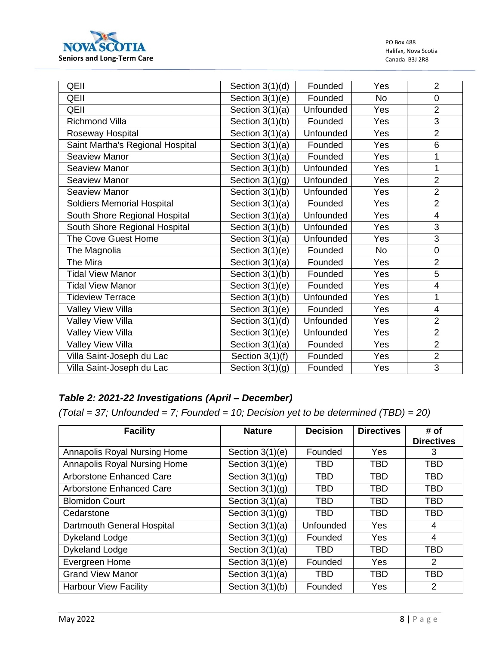

PO Box 488 Halifax, Nova Scotia Canada B3J 2R8

| QEII                              | Section $3(1)(d)$ | Founded   | Yes       | $\overline{2}$          |
|-----------------------------------|-------------------|-----------|-----------|-------------------------|
| QEII                              | Section $3(1)(e)$ | Founded   | <b>No</b> | 0                       |
| QEII                              | Section $3(1)(a)$ | Unfounded | Yes       | $\overline{2}$          |
| <b>Richmond Villa</b>             | Section 3(1)(b)   | Founded   | Yes       | $\overline{3}$          |
| Roseway Hospital                  | Section $3(1)(a)$ | Unfounded | Yes       | $\overline{2}$          |
| Saint Martha's Regional Hospital  | Section $3(1)(a)$ | Founded   | Yes       | 6                       |
| Seaview Manor                     | Section $3(1)(a)$ | Founded   | Yes       | 1                       |
| <b>Seaview Manor</b>              | Section 3(1)(b)   | Unfounded | Yes       | $\mathbf{1}$            |
| <b>Seaview Manor</b>              | Section $3(1)(g)$ | Unfounded | Yes       | $\overline{2}$          |
| <b>Seaview Manor</b>              | Section $3(1)(b)$ | Unfounded | Yes       | $\overline{2}$          |
| <b>Soldiers Memorial Hospital</b> | Section $3(1)(a)$ | Founded   | Yes       | $\overline{2}$          |
| South Shore Regional Hospital     | Section $3(1)(a)$ | Unfounded | Yes       | 4                       |
| South Shore Regional Hospital     | Section 3(1)(b)   | Unfounded | Yes       | 3                       |
| The Cove Guest Home               | Section $3(1)(a)$ | Unfounded | Yes       | $\overline{3}$          |
| The Magnolia                      | Section $3(1)(e)$ | Founded   | <b>No</b> | $\mathbf 0$             |
| The Mira                          | Section $3(1)(a)$ | Founded   | Yes       | $\overline{2}$          |
| <b>Tidal View Manor</b>           | Section $3(1)(b)$ | Founded   | Yes       | $\overline{5}$          |
| <b>Tidal View Manor</b>           | Section $3(1)(e)$ | Founded   | Yes       | $\overline{\mathbf{4}}$ |
| <b>Tideview Terrace</b>           | Section $3(1)(b)$ | Unfounded | Yes       | $\mathbf{1}$            |
| <b>Valley View Villa</b>          | Section $3(1)(e)$ | Founded   | Yes       | $\overline{\mathbf{4}}$ |
| Valley View Villa                 | Section 3(1)(d)   | Unfounded | Yes       | $\overline{2}$          |
| Valley View Villa                 | Section $3(1)(e)$ | Unfounded | Yes       | $\overline{2}$          |
| Valley View Villa                 | Section $3(1)(a)$ | Founded   | Yes       | $\overline{2}$          |
| Villa Saint-Joseph du Lac         | Section $3(1)(f)$ | Founded   | Yes       | $\overline{2}$          |
| Villa Saint-Joseph du Lac         | Section $3(1)(g)$ | Founded   | Yes       | 3                       |

#### <span id="page-7-0"></span>*Table 2: 2021-22 Investigations (April – December)*

*(Total = 37; Unfounded = 7; Founded = 10; Decision yet to be determined (TBD) = 20)*

| <b>Facility</b>                 | <b>Nature</b>     | <b>Decision</b> | <b>Directives</b> | # of<br><b>Directives</b> |
|---------------------------------|-------------------|-----------------|-------------------|---------------------------|
| Annapolis Royal Nursing Home    | Section $3(1)(e)$ | Founded         | Yes               | 3                         |
| Annapolis Royal Nursing Home    | Section $3(1)(e)$ | <b>TBD</b>      | <b>TBD</b>        | <b>TBD</b>                |
| <b>Arborstone Enhanced Care</b> | Section $3(1)(q)$ | <b>TBD</b>      | <b>TBD</b>        | <b>TBD</b>                |
| <b>Arborstone Enhanced Care</b> | Section $3(1)(g)$ | <b>TBD</b>      | <b>TBD</b>        | <b>TBD</b>                |
| <b>Blomidon Court</b>           | Section $3(1)(a)$ | <b>TBD</b>      | <b>TBD</b>        | <b>TBD</b>                |
| Cedarstone                      | Section $3(1)(q)$ | <b>TBD</b>      | <b>TBD</b>        | <b>TBD</b>                |
| Dartmouth General Hospital      | Section $3(1)(a)$ | Unfounded       | Yes               | 4                         |
| <b>Dykeland Lodge</b>           | Section $3(1)(g)$ | Founded         | Yes               | 4                         |
| <b>Dykeland Lodge</b>           | Section $3(1)(a)$ | <b>TBD</b>      | <b>TBD</b>        | <b>TBD</b>                |
| Evergreen Home                  | Section $3(1)(e)$ | Founded         | <b>Yes</b>        | 2                         |
| <b>Grand View Manor</b>         | Section $3(1)(a)$ | <b>TBD</b>      | <b>TBD</b>        | <b>TBD</b>                |
| <b>Harbour View Facility</b>    | Section $3(1)(b)$ | Founded         | Yes               | $\overline{2}$            |